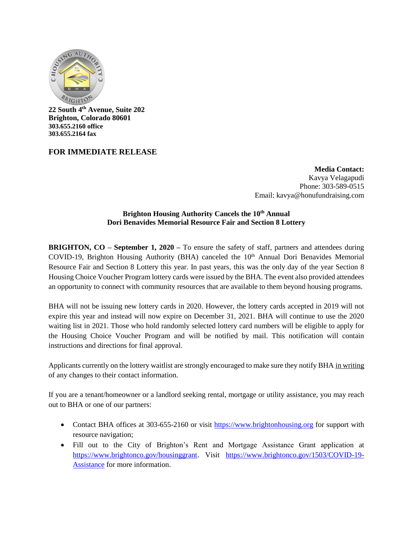

**22 South 4th Avenue, Suite 202 Brighton, Colorado 80601 303.655.2160 office 303.655.2164 fax**

## **FOR IMMEDIATE RELEASE**

**Media Contact:** Kavya Velagapudi Phone: 303-589-0515 Email: kavya@honufundraising.com

## **Brighton Housing Authority Cancels the 10th Annual Dori Benavides Memorial Resource Fair and Section 8 Lottery**

**BRIGHTON, CO – September 1, 2020 –** To ensure the safety of staff, partners and attendees during COVID-19, Brighton Housing Authority (BHA) canceled the  $10<sup>th</sup>$  Annual Dori Benavides Memorial Resource Fair and Section 8 Lottery this year. In past years, this was the only day of the year Section 8 Housing Choice Voucher Program lottery cards were issued by the BHA. The event also provided attendees an opportunity to connect with community resources that are available to them beyond housing programs.

BHA will not be issuing new lottery cards in 2020. However, the lottery cards accepted in 2019 will not expire this year and instead will now expire on December 31, 2021. BHA will continue to use the 2020 waiting list in 2021. Those who hold randomly selected lottery card numbers will be eligible to apply for the Housing Choice Voucher Program and will be notified by mail. This notification will contain instructions and directions for final approval.

Applicants currently on the lottery waitlist are strongly encouraged to make sure they notify BHA in writing of any changes to their contact information.

If you are a tenant/homeowner or a landlord seeking rental, mortgage or utility assistance, you may reach out to BHA or one of our partners:

- Contact BHA offices at 303-655-2160 or visit [https://www.brightonhousing.org](https://www.brightonhousing.org/) for support with resource navigation;
- Fill out to the City of Brighton's Rent and Mortgage Assistance Grant application at [https://www.brightonco.gov/housinggrant.](https://www.brightonco.gov/housinggrant) Visit [https://www.brightonco.gov/1503/COVID-19-](https://www.brightonco.gov/1503/COVID-19-Assistance) [Assistance](https://www.brightonco.gov/1503/COVID-19-Assistance) for more information.